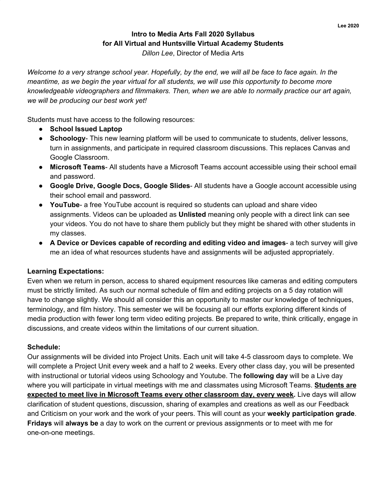## **Intro to Media Arts Fall 2020 Syllabus for All Virtual and Huntsville Virtual Academy Students**

*Dillon Lee*, Director of Media Arts

Welcome to a very strange school year. Hopefully, by the end, we will all be face to face again. In the meantime, as we begin the year virtual for all students, we will use this opportunity to become more *knowledgeable videographers and filmmakers. Then, when we are able to normally practice our art again, we will be producing our best work yet!*

Students must have access to the following resources:

- **● School Issued Laptop**
- **Schoology** This new learning platform will be used to communicate to students, deliver lessons, turn in assignments, and participate in required classroom discussions. This replaces Canvas and Google Classroom.
- **Microsoft Teams** All students have a Microsoft Teams account accessible using their school email and password.
- **Google Drive, Google Docs, Google Slides** All students have a Google account accessible using their school email and password.
- **YouTube** a free YouTube account is required so students can upload and share video assignments. Videos can be uploaded as **Unlisted** meaning only people with a direct link can see your videos. You do not have to share them publicly but they might be shared with other students in my classes.
- **A Device or Devices capable of recording and editing video and images** a tech survey will give me an idea of what resources students have and assignments will be adjusted appropriately.

## **Learning Expectations:**

Even when we return in person, access to shared equipment resources like cameras and editing computers must be strictly limited. As such our normal schedule of film and editing projects on a 5 day rotation will have to change slightly. We should all consider this an opportunity to master our knowledge of techniques, terminology, and film history. This semester we will be focusing all our efforts exploring different kinds of media production with fewer long term video editing projects. Be prepared to write, think critically, engage in discussions, and create videos within the limitations of our current situation.

### **Schedule:**

Our assignments will be divided into Project Units. Each unit will take 4-5 classroom days to complete. We will complete a Project Unit every week and a half to 2 weeks. Every other class day, you will be presented with instructional or tutorial videos using Schoology and Youtube. The **following day** will be a Live day where you will participate in virtual meetings with me and classmates using Microsoft Teams. **Students are expected to meet live in Microsoft Teams every other classroom day, every week.** Live days will allow clarification of student questions, discussion, sharing of examples and creations as well as our Feedback and Criticism on your work and the work of your peers. This will count as your **weekly participation grade**. **Fridays** will **always be** a day to work on the current or previous assignments or to meet with me for one-on-one meetings.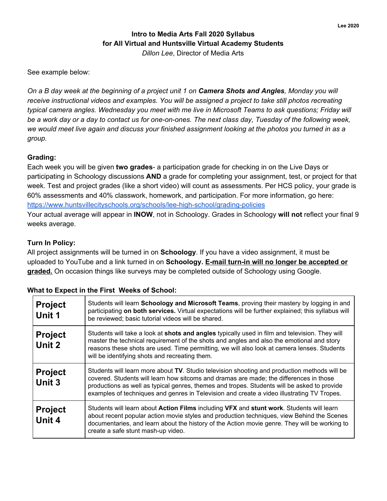## **Intro to Media Arts Fall 2020 Syllabus for All Virtual and Huntsville Virtual Academy Students** *Dillon Lee*, Director of Media Arts

See example below:

On a B day week at the beginning of a project unit 1 on Camera Shots and Angles, Monday you will *receive instructional videos and examples. You will be assigned a project to take still photos recreating typical camera angles. Wednesday you meet with me live in Microsoft Teams to ask questions; Friday will* be a work day or a day to contact us for one-on-ones. The next class day, Tuesday of the following week, we would meet live again and discuss your finished assignment looking at the photos you turned in as a *group.*

#### **Grading:**

Each week you will be given **two grades**- a participation grade for checking in on the Live Days or participating in Schoology discussions **AND** a grade for completing your assignment, test, or project for that week. Test and project grades (like a short video) will count as assessments. Per HCS policy, your grade is 60% assessments and 40% classwork, homework, and participation. For more information, go here: <https://www.huntsvillecityschools.org/schools/lee-high-school/grading-policies> Your actual average will appear in **INOW**, not in Schoology. Grades in Schoology **will not** reflect your final 9

weeks average.

#### **Turn In Policy:**

All project assignments will be turned in on **Schoology**. If you have a video assignment, it must be uploaded to YouTube and a link turned in on **Schoology. E-mail turn-in will no longer be accepted or** graded. On occasion things like surveys may be completed outside of Schoology using Google.

## **What to Expect in the First Weeks of School:**

| <b>Project</b><br>Unit 1 | Students will learn Schoology and Microsoft Teams, proving their mastery by logging in and<br>participating on both services. Virtual expectations will be further explained; this syllabus will<br>be reviewed; basic tutorial videos will be shared.                                                                                                                              |
|--------------------------|-------------------------------------------------------------------------------------------------------------------------------------------------------------------------------------------------------------------------------------------------------------------------------------------------------------------------------------------------------------------------------------|
| <b>Project</b><br>Unit 2 | Students will take a look at shots and angles typically used in film and television. They will<br>master the technical requirement of the shots and angles and also the emotional and story<br>reasons these shots are used. Time permitting, we will also look at camera lenses. Students<br>will be identifying shots and recreating them.                                        |
| <b>Project</b><br>Unit 3 | Students will learn more about TV. Studio television shooting and production methods will be<br>covered. Students will learn how sitcoms and dramas are made; the differences in those<br>productions as well as typical genres, themes and tropes. Students will be asked to provide<br>examples of techniques and genres in Television and create a video illustrating TV Tropes. |
| <b>Project</b><br>Unit 4 | Students will learn about Action Films including VFX and stunt work. Students will learn<br>about recent popular action movie styles and production techniques, view Behind the Scenes<br>documentaries, and learn about the history of the Action movie genre. They will be working to<br>create a safe stunt mash-up video.                                                       |